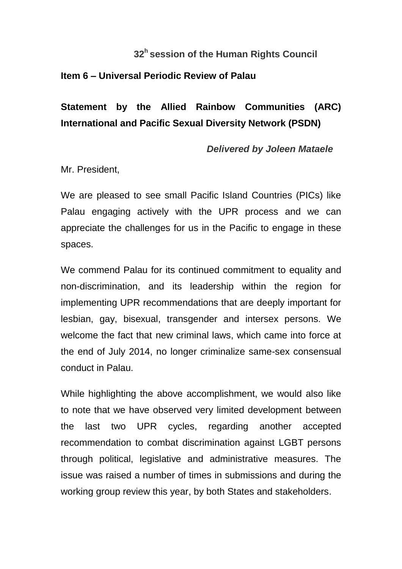## **32<sup>h</sup>session of the Human Rights Council**

## **Item 6 – Universal Periodic Review of Palau**

## **Statement by the Allied Rainbow Communities (ARC) International and Pacific Sexual Diversity Network (PSDN)**

## *Delivered by Joleen Mataele*

Mr. President,

We are pleased to see small Pacific Island Countries (PICs) like Palau engaging actively with the UPR process and we can appreciate the challenges for us in the Pacific to engage in these spaces.

We commend Palau for its continued commitment to equality and non-discrimination, and its leadership within the region for implementing UPR recommendations that are deeply important for lesbian, gay, bisexual, transgender and intersex persons. We welcome the fact that new criminal laws, which came into force at the end of July 2014, no longer criminalize same-sex consensual conduct in Palau.

While highlighting the above accomplishment, we would also like to note that we have observed very limited development between the last two UPR cycles, regarding another accepted recommendation to combat discrimination against LGBT persons through political, legislative and administrative measures. The issue was raised a number of times in submissions and during the working group review this year, by both States and stakeholders.